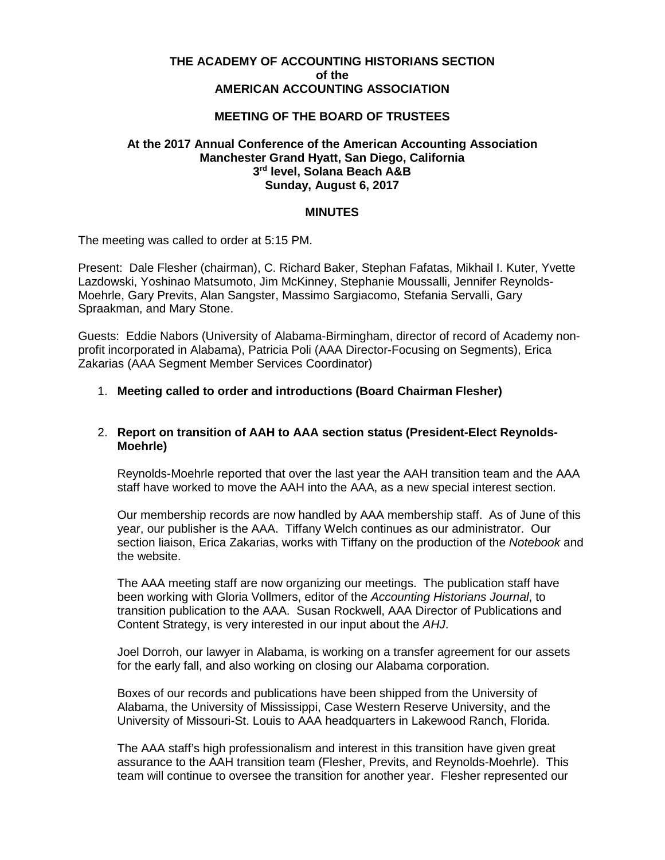## **THE ACADEMY OF ACCOUNTING HISTORIANS SECTION of the AMERICAN ACCOUNTING ASSOCIATION**

# **MEETING OF THE BOARD OF TRUSTEES**

## **At the 2017 Annual Conference of the American Accounting Association Manchester Grand Hyatt, San Diego, California 3rd level, Solana Beach A&B Sunday, August 6, 2017**

#### **MINUTES**

The meeting was called to order at 5:15 PM.

Present: Dale Flesher (chairman), C. Richard Baker, Stephan Fafatas, Mikhail I. Kuter, Yvette Lazdowski, Yoshinao Matsumoto, Jim McKinney, Stephanie Moussalli, Jennifer Reynolds-Moehrle, Gary Previts, Alan Sangster, Massimo Sargiacomo, Stefania Servalli, Gary Spraakman, and Mary Stone.

Guests: Eddie Nabors (University of Alabama-Birmingham, director of record of Academy nonprofit incorporated in Alabama), Patricia Poli (AAA Director-Focusing on Segments), Erica Zakarias (AAA Segment Member Services Coordinator)

#### 1. **Meeting called to order and introductions (Board Chairman Flesher)**

## 2. **Report on transition of AAH to AAA section status (President-Elect Reynolds-Moehrle)**

Reynolds-Moehrle reported that over the last year the AAH transition team and the AAA staff have worked to move the AAH into the AAA, as a new special interest section.

Our membership records are now handled by AAA membership staff. As of June of this year, our publisher is the AAA. Tiffany Welch continues as our administrator. Our section liaison, Erica Zakarias, works with Tiffany on the production of the *Notebook* and the website.

The AAA meeting staff are now organizing our meetings. The publication staff have been working with Gloria Vollmers, editor of the *Accounting Historians Journal*, to transition publication to the AAA. Susan Rockwell, AAA Director of Publications and Content Strategy, is very interested in our input about the *AHJ*.

Joel Dorroh, our lawyer in Alabama, is working on a transfer agreement for our assets for the early fall, and also working on closing our Alabama corporation.

Boxes of our records and publications have been shipped from the University of Alabama, the University of Mississippi, Case Western Reserve University, and the University of Missouri-St. Louis to AAA headquarters in Lakewood Ranch, Florida.

The AAA staff's high professionalism and interest in this transition have given great assurance to the AAH transition team (Flesher, Previts, and Reynolds-Moehrle). This team will continue to oversee the transition for another year. Flesher represented our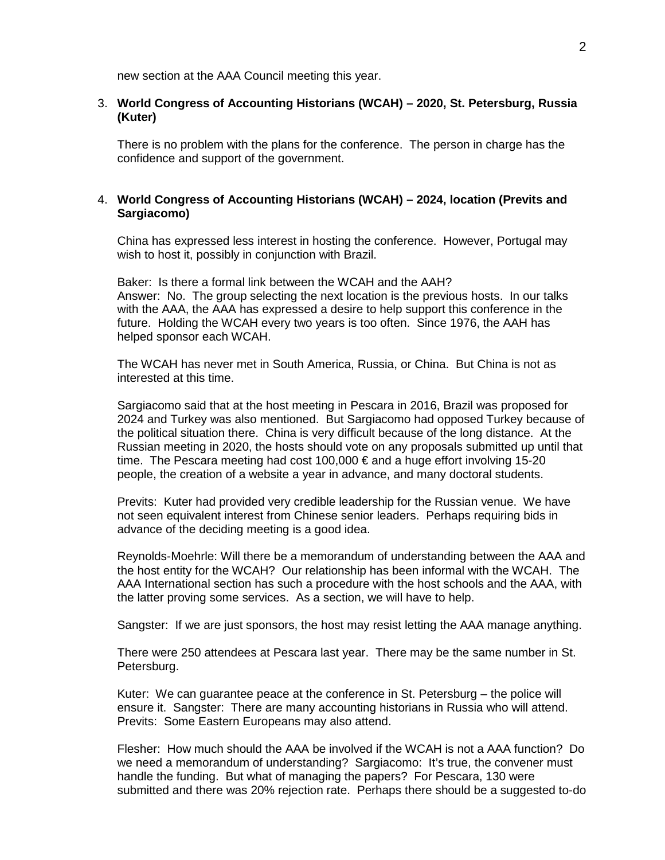new section at the AAA Council meeting this year.

## 3. **World Congress of Accounting Historians (WCAH) – 2020, St. Petersburg, Russia (Kuter)**

There is no problem with the plans for the conference. The person in charge has the confidence and support of the government.

## 4. **World Congress of Accounting Historians (WCAH) – 2024, location (Previts and Sargiacomo)**

China has expressed less interest in hosting the conference. However, Portugal may wish to host it, possibly in conjunction with Brazil.

Baker: Is there a formal link between the WCAH and the AAH? Answer: No. The group selecting the next location is the previous hosts. In our talks with the AAA, the AAA has expressed a desire to help support this conference in the future. Holding the WCAH every two years is too often. Since 1976, the AAH has helped sponsor each WCAH.

The WCAH has never met in South America, Russia, or China. But China is not as interested at this time.

Sargiacomo said that at the host meeting in Pescara in 2016, Brazil was proposed for 2024 and Turkey was also mentioned. But Sargiacomo had opposed Turkey because of the political situation there. China is very difficult because of the long distance. At the Russian meeting in 2020, the hosts should vote on any proposals submitted up until that time. The Pescara meeting had cost 100,000 € and a huge effort involving 15-20 people, the creation of a website a year in advance, and many doctoral students.

Previts: Kuter had provided very credible leadership for the Russian venue. We have not seen equivalent interest from Chinese senior leaders. Perhaps requiring bids in advance of the deciding meeting is a good idea.

Reynolds-Moehrle: Will there be a memorandum of understanding between the AAA and the host entity for the WCAH? Our relationship has been informal with the WCAH. The AAA International section has such a procedure with the host schools and the AAA, with the latter proving some services. As a section, we will have to help.

Sangster: If we are just sponsors, the host may resist letting the AAA manage anything.

There were 250 attendees at Pescara last year. There may be the same number in St. Petersburg.

Kuter: We can guarantee peace at the conference in St. Petersburg – the police will ensure it. Sangster: There are many accounting historians in Russia who will attend. Previts: Some Eastern Europeans may also attend.

Flesher: How much should the AAA be involved if the WCAH is not a AAA function? Do we need a memorandum of understanding? Sargiacomo: It's true, the convener must handle the funding. But what of managing the papers? For Pescara, 130 were submitted and there was 20% rejection rate. Perhaps there should be a suggested to-do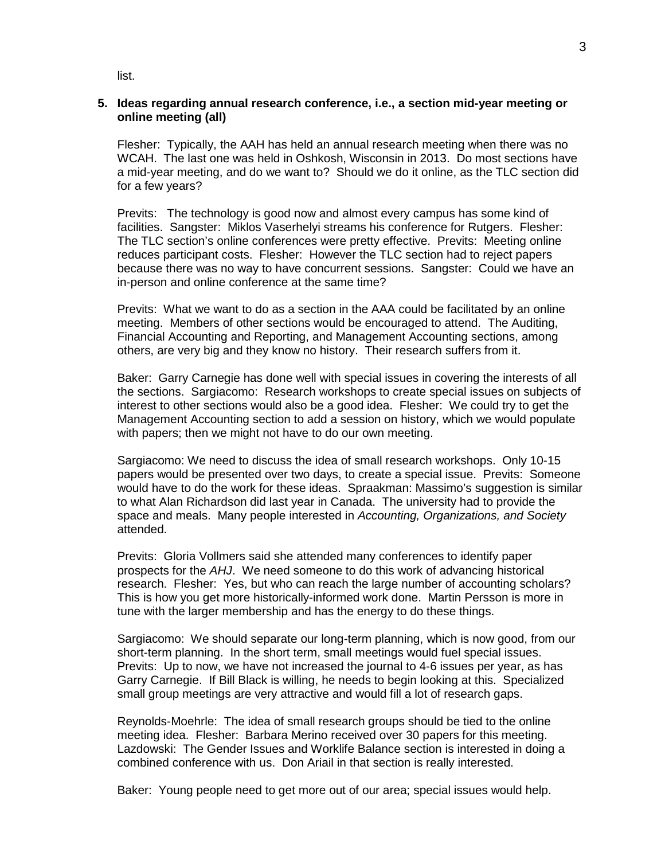list.

## **5. Ideas regarding annual research conference, i.e., a section mid-year meeting or online meeting (all)**

Flesher: Typically, the AAH has held an annual research meeting when there was no WCAH. The last one was held in Oshkosh, Wisconsin in 2013. Do most sections have a mid-year meeting, and do we want to? Should we do it online, as the TLC section did for a few years?

Previts: The technology is good now and almost every campus has some kind of facilities. Sangster: Miklos Vaserhelyi streams his conference for Rutgers. Flesher: The TLC section's online conferences were pretty effective. Previts: Meeting online reduces participant costs. Flesher: However the TLC section had to reject papers because there was no way to have concurrent sessions. Sangster: Could we have an in-person and online conference at the same time?

Previts: What we want to do as a section in the AAA could be facilitated by an online meeting. Members of other sections would be encouraged to attend. The Auditing, Financial Accounting and Reporting, and Management Accounting sections, among others, are very big and they know no history. Their research suffers from it.

Baker: Garry Carnegie has done well with special issues in covering the interests of all the sections. Sargiacomo: Research workshops to create special issues on subjects of interest to other sections would also be a good idea. Flesher: We could try to get the Management Accounting section to add a session on history, which we would populate with papers; then we might not have to do our own meeting.

Sargiacomo: We need to discuss the idea of small research workshops. Only 10-15 papers would be presented over two days, to create a special issue. Previts: Someone would have to do the work for these ideas. Spraakman: Massimo's suggestion is similar to what Alan Richardson did last year in Canada. The university had to provide the space and meals. Many people interested in *Accounting, Organizations, and Society* attended.

Previts: Gloria Vollmers said she attended many conferences to identify paper prospects for the *AHJ*. We need someone to do this work of advancing historical research. Flesher: Yes, but who can reach the large number of accounting scholars? This is how you get more historically-informed work done. Martin Persson is more in tune with the larger membership and has the energy to do these things.

Sargiacomo: We should separate our long-term planning, which is now good, from our short-term planning. In the short term, small meetings would fuel special issues. Previts: Up to now, we have not increased the journal to 4-6 issues per year, as has Garry Carnegie. If Bill Black is willing, he needs to begin looking at this. Specialized small group meetings are very attractive and would fill a lot of research gaps.

Reynolds-Moehrle: The idea of small research groups should be tied to the online meeting idea. Flesher: Barbara Merino received over 30 papers for this meeting. Lazdowski: The Gender Issues and Worklife Balance section is interested in doing a combined conference with us. Don Ariail in that section is really interested.

Baker: Young people need to get more out of our area; special issues would help.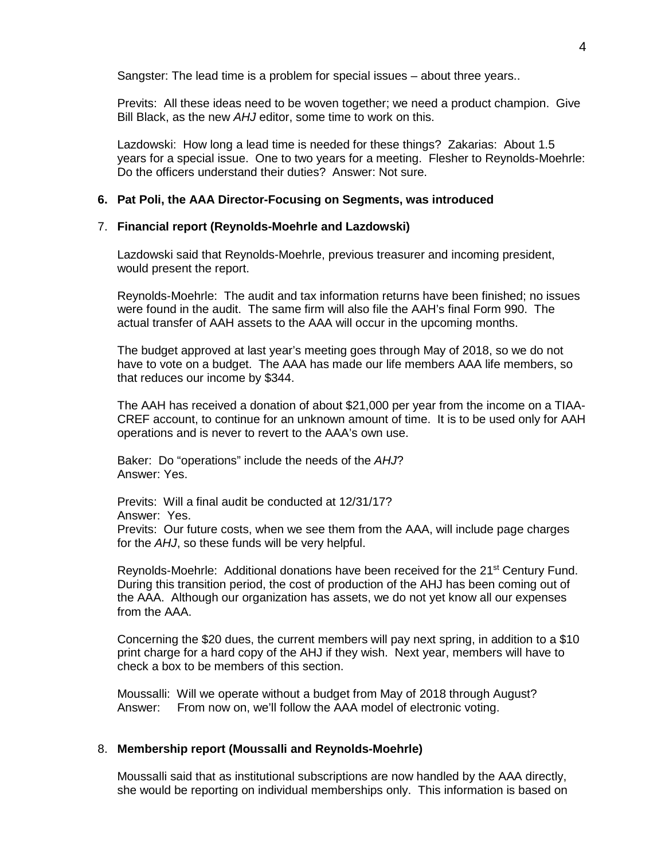Sangster: The lead time is a problem for special issues – about three years..

Previts: All these ideas need to be woven together; we need a product champion. Give Bill Black, as the new *AHJ* editor, some time to work on this.

Lazdowski: How long a lead time is needed for these things? Zakarias: About 1.5 years for a special issue. One to two years for a meeting. Flesher to Reynolds-Moehrle: Do the officers understand their duties? Answer: Not sure.

#### **6. Pat Poli, the AAA Director-Focusing on Segments, was introduced**

#### 7. **Financial report (Reynolds-Moehrle and Lazdowski)**

Lazdowski said that Reynolds-Moehrle, previous treasurer and incoming president, would present the report.

Reynolds-Moehrle: The audit and tax information returns have been finished; no issues were found in the audit. The same firm will also file the AAH's final Form 990. The actual transfer of AAH assets to the AAA will occur in the upcoming months.

The budget approved at last year's meeting goes through May of 2018, so we do not have to vote on a budget. The AAA has made our life members AAA life members, so that reduces our income by \$344.

The AAH has received a donation of about \$21,000 per year from the income on a TIAA-CREF account, to continue for an unknown amount of time. It is to be used only for AAH operations and is never to revert to the AAA's own use.

Baker: Do "operations" include the needs of the *AHJ*? Answer: Yes.

Previts: Will a final audit be conducted at 12/31/17? Answer: Yes. Previts: Our future costs, when we see them from the AAA, will include page charges for the *AHJ*, so these funds will be very helpful.

Reynolds-Moehrle: Additional donations have been received for the 21<sup>st</sup> Century Fund. During this transition period, the cost of production of the AHJ has been coming out of the AAA. Although our organization has assets, we do not yet know all our expenses from the AAA.

Concerning the \$20 dues, the current members will pay next spring, in addition to a \$10 print charge for a hard copy of the AHJ if they wish. Next year, members will have to check a box to be members of this section.

Moussalli: Will we operate without a budget from May of 2018 through August? Answer: From now on, we'll follow the AAA model of electronic voting.

### 8. **Membership report (Moussalli and Reynolds-Moehrle)**

Moussalli said that as institutional subscriptions are now handled by the AAA directly, she would be reporting on individual memberships only. This information is based on